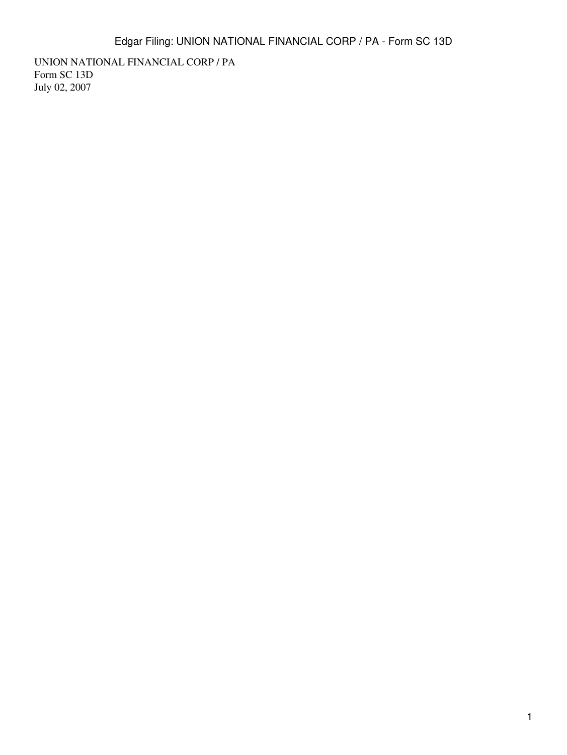UNION NATIONAL FINANCIAL CORP / PA Form SC 13D July 02, 2007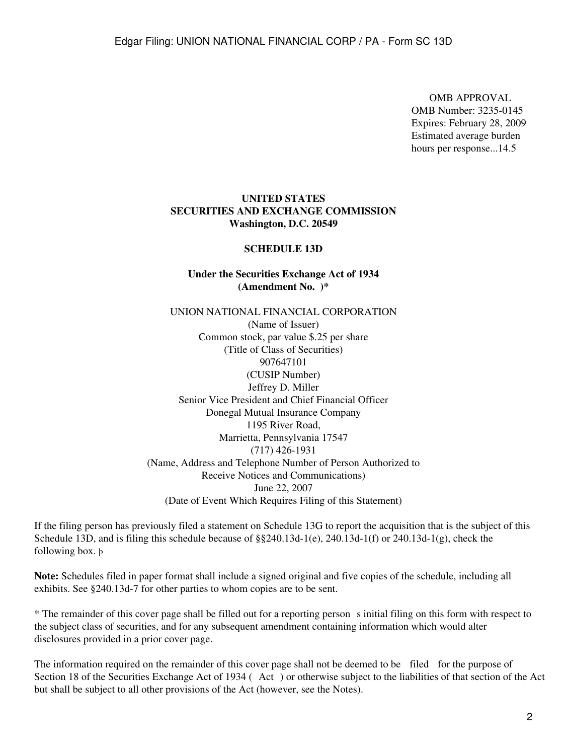OMB APPROVAL OMB Number: 3235-0145 Expires: February 28, 2009 Estimated average burden hours per response...14.5

### **UNITED STATES SECURITIES AND EXCHANGE COMMISSION Washington, D.C. 20549**

#### **SCHEDULE 13D**

## **Under the Securities Exchange Act of 1934 (Amendment No. )\***

UNION NATIONAL FINANCIAL CORPORATION (Name of Issuer) Common stock, par value \$.25 per share (Title of Class of Securities) 907647101 (CUSIP Number) Jeffrey D. Miller Senior Vice President and Chief Financial Officer Donegal Mutual Insurance Company 1195 River Road, Marrietta, Pennsylvania 17547 (717) 426-1931 (Name, Address and Telephone Number of Person Authorized to Receive Notices and Communications) June 22, 2007 (Date of Event Which Requires Filing of this Statement)

If the filing person has previously filed a statement on Schedule 13G to report the acquisition that is the subject of this Schedule 13D, and is filing this schedule because of  $\S$ §240.13d-1(e), 240.13d-1(f) or 240.13d-1(g), check the following box. þ

**Note:** Schedules filed in paper format shall include a signed original and five copies of the schedule, including all exhibits. See §240.13d-7 for other parties to whom copies are to be sent.

\* The remainder of this cover page shall be filled out for a reporting persons initial filing on this form with respect to the subject class of securities, and for any subsequent amendment containing information which would alter disclosures provided in a prior cover page.

The information required on the remainder of this cover page shall not be deemed to be filed for the purpose of Section 18 of the Securities Exchange Act of 1934 (Act) or otherwise subject to the liabilities of that section of the Act but shall be subject to all other provisions of the Act (however, see the Notes).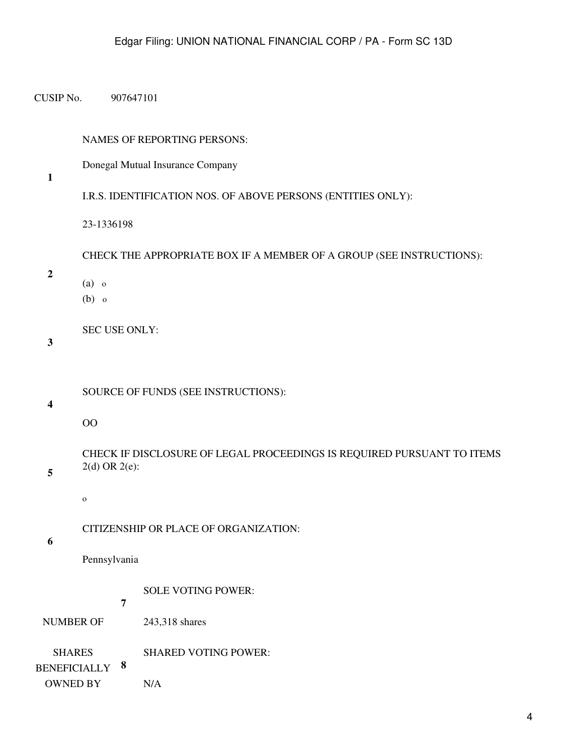CUSIP No. 907647101

#### NAMES OF REPORTING PERSONS:

Donegal Mutual Insurance Company

**1**

```
I.R.S. IDENTIFICATION NOS. OF ABOVE PERSONS (ENTITIES ONLY):
```
23-1336198

CHECK THE APPROPRIATE BOX IF A MEMBER OF A GROUP (SEE INSTRUCTIONS):

**2**

- (a) o
- (b) o

SEC USE ONLY:

**3**

SOURCE OF FUNDS (SEE INSTRUCTIONS):

**4**

OO

CHECK IF DISCLOSURE OF LEGAL PROCEEDINGS IS REQUIRED PURSUANT TO ITEMS 2(d) OR 2(e):

o

CITIZENSHIP OR PLACE OF ORGANIZATION:

**6**

**5**

Pennsylvania

SOLE VOTING POWER:

**7**

NUMBER OF 243,318 shares

SHARES **8** BENEFICIALLY SHARED VOTING POWER:

OWNED BY N/A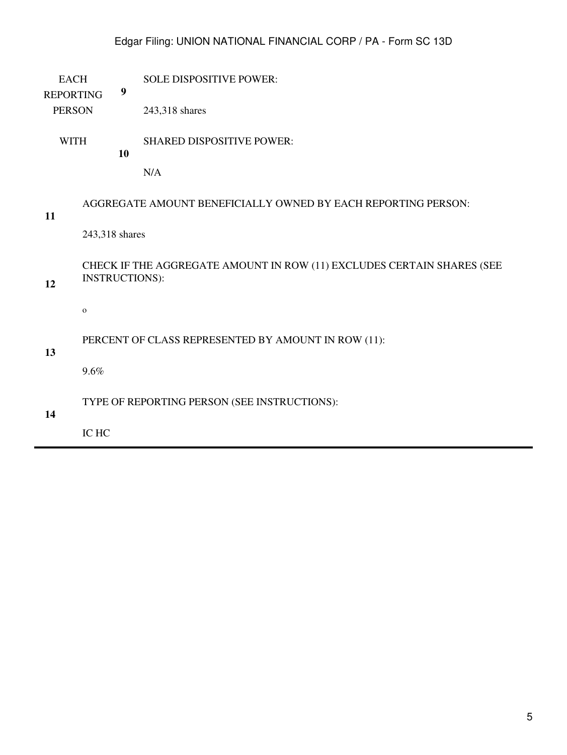# Edgar Filing: UNION NATIONAL FINANCIAL CORP / PA - Form SC 13D

EACH SOLE DISPOSITIVE POWER:

REPORTING

PERSON 243,318 shares

**9**

WITH **10** SHARED DISPOSITIVE POWER:

N/A

## AGGREGATE AMOUNT BENEFICIALLY OWNED BY EACH REPORTING PERSON:

## **11**

**12**

243,318 shares

CHECK IF THE AGGREGATE AMOUNT IN ROW (11) EXCLUDES CERTAIN SHARES (SEE INSTRUCTIONS):

o

### PERCENT OF CLASS REPRESENTED BY AMOUNT IN ROW (11):

**13**

9.6%

TYPE OF REPORTING PERSON (SEE INSTRUCTIONS):

# **14**

IC HC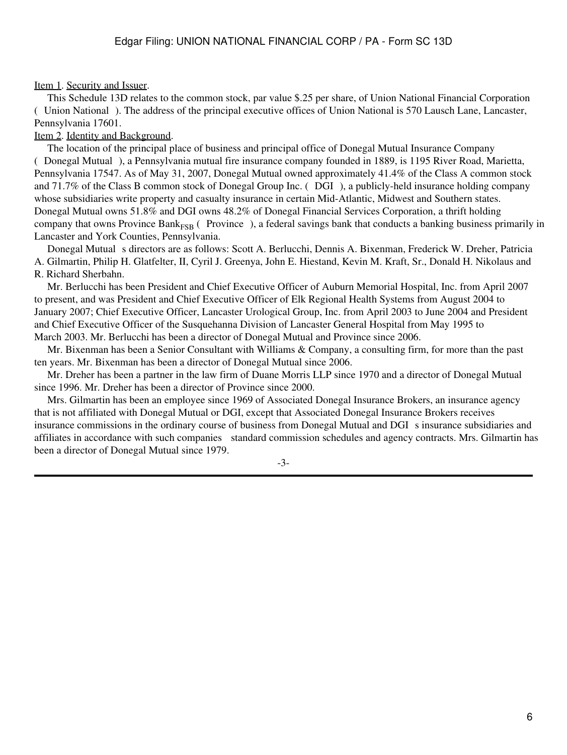### Item 1. Security and Issuer.

 This Schedule 13D relates to the common stock, par value \$.25 per share, of Union National Financial Corporation (Union National). The address of the principal executive offices of Union National is 570 Lausch Lane, Lancaster, Pennsylvania 17601.

### Item 2. Identity and Background.

 The location of the principal place of business and principal office of Donegal Mutual Insurance Company (Donegal Mutual), a Pennsylvania mutual fire insurance company founded in 1889, is 1195 River Road, Marietta, Pennsylvania 17547. As of May 31, 2007, Donegal Mutual owned approximately 41.4% of the Class A common stock and 71.7% of the Class B common stock of Donegal Group Inc. (DGI), a publicly-held insurance holding company whose subsidiaries write property and casualty insurance in certain Mid-Atlantic, Midwest and Southern states. Donegal Mutual owns 51.8% and DGI owns 48.2% of Donegal Financial Services Corporation, a thrift holding company that owns Province Bank $_{FSB}$  (Province), a federal savings bank that conducts a banking business primarily in Lancaster and York Counties, Pennsylvania.

Donegal Mutual s directors are as follows: Scott A. Berlucchi, Dennis A. Bixenman, Frederick W. Dreher, Patricia A. Gilmartin, Philip H. Glatfelter, II, Cyril J. Greenya, John E. Hiestand, Kevin M. Kraft, Sr., Donald H. Nikolaus and R. Richard Sherbahn.

 Mr. Berlucchi has been President and Chief Executive Officer of Auburn Memorial Hospital, Inc. from April 2007 to present, and was President and Chief Executive Officer of Elk Regional Health Systems from August 2004 to January 2007; Chief Executive Officer, Lancaster Urological Group, Inc. from April 2003 to June 2004 and President and Chief Executive Officer of the Susquehanna Division of Lancaster General Hospital from May 1995 to March 2003. Mr. Berlucchi has been a director of Donegal Mutual and Province since 2006.

 Mr. Bixenman has been a Senior Consultant with Williams & Company, a consulting firm, for more than the past ten years. Mr. Bixenman has been a director of Donegal Mutual since 2006.

 Mr. Dreher has been a partner in the law firm of Duane Morris LLP since 1970 and a director of Donegal Mutual since 1996. Mr. Dreher has been a director of Province since 2000.

 Mrs. Gilmartin has been an employee since 1969 of Associated Donegal Insurance Brokers, an insurance agency that is not affiliated with Donegal Mutual or DGI, except that Associated Donegal Insurance Brokers receives insurance commissions in the ordinary course of business from Donegal Mutual and DGI s insurance subsidiaries and affiliates in accordance with such companies standard commission schedules and agency contracts. Mrs. Gilmartin has been a director of Donegal Mutual since 1979.

-3-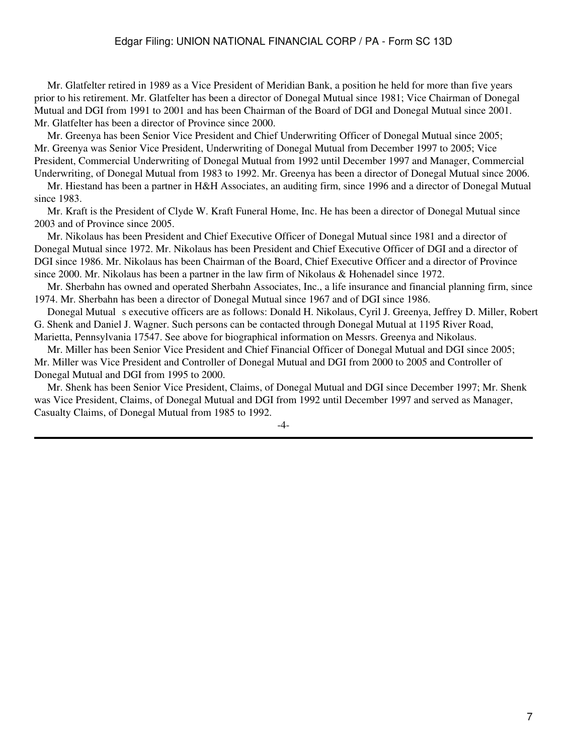Mr. Glatfelter retired in 1989 as a Vice President of Meridian Bank, a position he held for more than five years prior to his retirement. Mr. Glatfelter has been a director of Donegal Mutual since 1981; Vice Chairman of Donegal Mutual and DGI from 1991 to 2001 and has been Chairman of the Board of DGI and Donegal Mutual since 2001. Mr. Glatfelter has been a director of Province since 2000.

 Mr. Greenya has been Senior Vice President and Chief Underwriting Officer of Donegal Mutual since 2005; Mr. Greenya was Senior Vice President, Underwriting of Donegal Mutual from December 1997 to 2005; Vice President, Commercial Underwriting of Donegal Mutual from 1992 until December 1997 and Manager, Commercial Underwriting, of Donegal Mutual from 1983 to 1992. Mr. Greenya has been a director of Donegal Mutual since 2006.

 Mr. Hiestand has been a partner in H&H Associates, an auditing firm, since 1996 and a director of Donegal Mutual since 1983.

 Mr. Kraft is the President of Clyde W. Kraft Funeral Home, Inc. He has been a director of Donegal Mutual since 2003 and of Province since 2005.

 Mr. Nikolaus has been President and Chief Executive Officer of Donegal Mutual since 1981 and a director of Donegal Mutual since 1972. Mr. Nikolaus has been President and Chief Executive Officer of DGI and a director of DGI since 1986. Mr. Nikolaus has been Chairman of the Board, Chief Executive Officer and a director of Province since 2000. Mr. Nikolaus has been a partner in the law firm of Nikolaus & Hohenadel since 1972.

 Mr. Sherbahn has owned and operated Sherbahn Associates, Inc., a life insurance and financial planning firm, since 1974. Mr. Sherbahn has been a director of Donegal Mutual since 1967 and of DGI since 1986.

Donegal Mutual s executive officers are as follows: Donald H. Nikolaus, Cyril J. Greenya, Jeffrey D. Miller, Robert G. Shenk and Daniel J. Wagner. Such persons can be contacted through Donegal Mutual at 1195 River Road, Marietta, Pennsylvania 17547. See above for biographical information on Messrs. Greenya and Nikolaus.

 Mr. Miller has been Senior Vice President and Chief Financial Officer of Donegal Mutual and DGI since 2005; Mr. Miller was Vice President and Controller of Donegal Mutual and DGI from 2000 to 2005 and Controller of Donegal Mutual and DGI from 1995 to 2000.

 Mr. Shenk has been Senior Vice President, Claims, of Donegal Mutual and DGI since December 1997; Mr. Shenk was Vice President, Claims, of Donegal Mutual and DGI from 1992 until December 1997 and served as Manager, Casualty Claims, of Donegal Mutual from 1985 to 1992.

-4-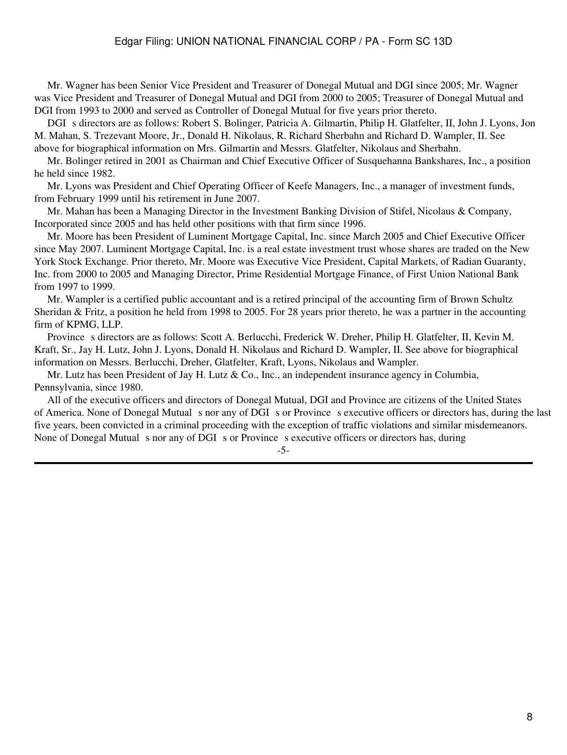Mr. Wagner has been Senior Vice President and Treasurer of Donegal Mutual and DGI since 2005; Mr. Wagner was Vice President and Treasurer of Donegal Mutual and DGI from 2000 to 2005; Treasurer of Donegal Mutual and DGI from 1993 to 2000 and served as Controller of Donegal Mutual for five years prior thereto.

DGI s directors are as follows: Robert S. Bolinger, Patricia A. Gilmartin, Philip H. Glatfelter, II, John J. Lyons, Jon M. Mahan, S. Trezevant Moore, Jr., Donald H. Nikolaus, R. Richard Sherbahn and Richard D. Wampler, II. See above for biographical information on Mrs. Gilmartin and Messrs. Glatfelter, Nikolaus and Sherbahn.

 Mr. Bolinger retired in 2001 as Chairman and Chief Executive Officer of Susquehanna Bankshares, Inc., a position he held since 1982.

 Mr. Lyons was President and Chief Operating Officer of Keefe Managers, Inc., a manager of investment funds, from February 1999 until his retirement in June 2007.

 Mr. Mahan has been a Managing Director in the Investment Banking Division of Stifel, Nicolaus & Company, Incorporated since 2005 and has held other positions with that firm since 1996.

 Mr. Moore has been President of Luminent Mortgage Capital, Inc. since March 2005 and Chief Executive Officer since May 2007. Luminent Mortgage Capital, Inc. is a real estate investment trust whose shares are traded on the New York Stock Exchange. Prior thereto, Mr. Moore was Executive Vice President, Capital Markets, of Radian Guaranty, Inc. from 2000 to 2005 and Managing Director, Prime Residential Mortgage Finance, of First Union National Bank from 1997 to 1999.

 Mr. Wampler is a certified public accountant and is a retired principal of the accounting firm of Brown Schultz Sheridan & Fritz, a position he held from 1998 to 2005. For 28 years prior thereto, he was a partner in the accounting firm of KPMG, LLP.

Province s directors are as follows: Scott A. Berlucchi, Frederick W. Dreher, Philip H. Glatfelter, II, Kevin M. Kraft, Sr., Jay H. Lutz, John J. Lyons, Donald H. Nikolaus and Richard D. Wampler, II. See above for biographical information on Messrs. Berlucchi, Dreher, Glatfelter, Kraft, Lyons, Nikolaus and Wampler.

Mr. Lutz has been President of Jay H. Lutz & Co., Inc., an independent insurance agency in Columbia, Pennsylvania, since 1980.

 All of the executive officers and directors of Donegal Mutual, DGI and Province are citizens of the United States of America. None of Donegal Mutual s nor any of DGI s or Province s executive officers or directors has, during the last five years, been convicted in a criminal proceeding with the exception of traffic violations and similar misdemeanors. None of Donegal Mutual s nor any of DGI s or Province s executive officers or directors has, during

-5-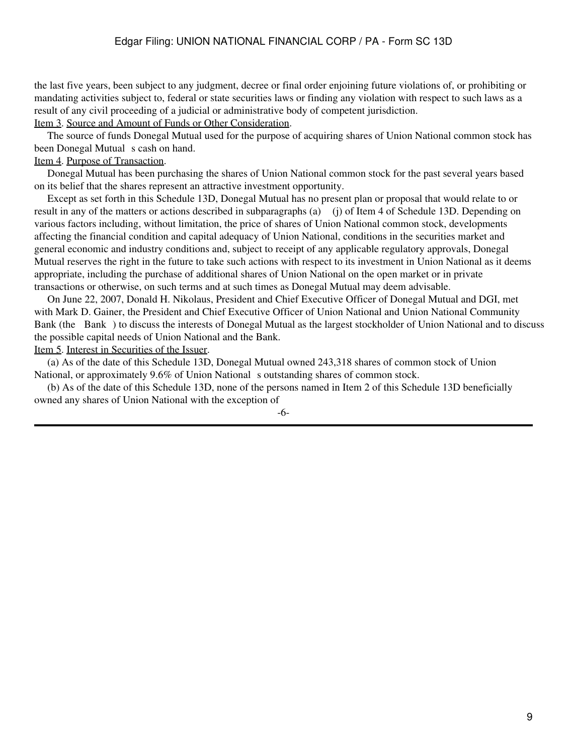the last five years, been subject to any judgment, decree or final order enjoining future violations of, or prohibiting or mandating activities subject to, federal or state securities laws or finding any violation with respect to such laws as a result of any civil proceeding of a judicial or administrative body of competent jurisdiction.

Item 3. Source and Amount of Funds or Other Consideration.

 The source of funds Donegal Mutual used for the purpose of acquiring shares of Union National common stock has been Donegal Mutual s cash on hand.

### Item 4. Purpose of Transaction.

 Donegal Mutual has been purchasing the shares of Union National common stock for the past several years based on its belief that the shares represent an attractive investment opportunity.

 Except as set forth in this Schedule 13D, Donegal Mutual has no present plan or proposal that would relate to or result in any of the matters or actions described in subparagraphs (a) (j) of Item 4 of Schedule 13D. Depending on various factors including, without limitation, the price of shares of Union National common stock, developments affecting the financial condition and capital adequacy of Union National, conditions in the securities market and general economic and industry conditions and, subject to receipt of any applicable regulatory approvals, Donegal Mutual reserves the right in the future to take such actions with respect to its investment in Union National as it deems appropriate, including the purchase of additional shares of Union National on the open market or in private transactions or otherwise, on such terms and at such times as Donegal Mutual may deem advisable.

 On June 22, 2007, Donald H. Nikolaus, President and Chief Executive Officer of Donegal Mutual and DGI, met with Mark D. Gainer, the President and Chief Executive Officer of Union National and Union National Community Bank (the Bank) to discuss the interests of Donegal Mutual as the largest stockholder of Union National and to discuss the possible capital needs of Union National and the Bank.

#### Item 5. Interest in Securities of the Issuer.

 (a) As of the date of this Schedule 13D, Donegal Mutual owned 243,318 shares of common stock of Union National, or approximately 9.6% of Union National soutstanding shares of common stock.

 (b) As of the date of this Schedule 13D, none of the persons named in Item 2 of this Schedule 13D beneficially owned any shares of Union National with the exception of

-6-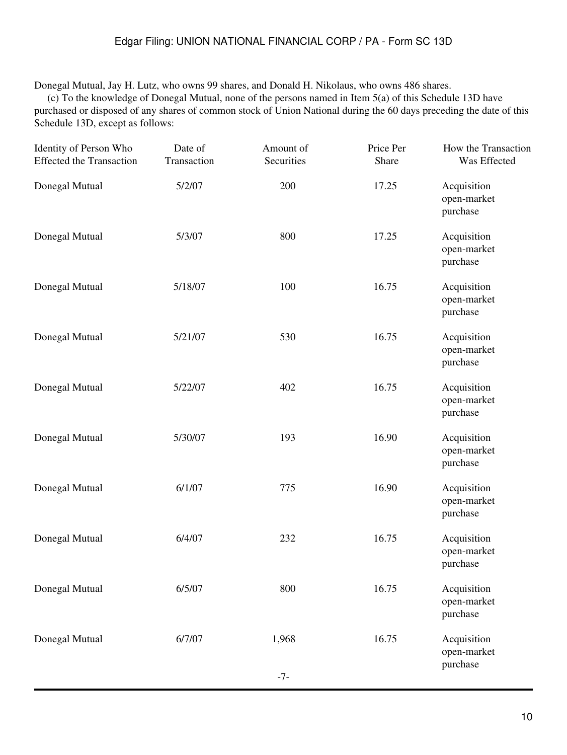## Edgar Filing: UNION NATIONAL FINANCIAL CORP / PA - Form SC 13D

Donegal Mutual, Jay H. Lutz, who owns 99 shares, and Donald H. Nikolaus, who owns 486 shares.

 (c) To the knowledge of Donegal Mutual, none of the persons named in Item 5(a) of this Schedule 13D have purchased or disposed of any shares of common stock of Union National during the 60 days preceding the date of this Schedule 13D, except as follows:

| Identity of Person Who<br><b>Effected the Transaction</b> | Date of<br>Transaction | Amount of<br>Securities | Price Per<br>Share | How the Transaction<br>Was Effected    |
|-----------------------------------------------------------|------------------------|-------------------------|--------------------|----------------------------------------|
| Donegal Mutual                                            | 5/2/07                 | 200                     | 17.25              | Acquisition<br>open-market<br>purchase |
| Donegal Mutual                                            | 5/3/07                 | 800                     | 17.25              | Acquisition<br>open-market<br>purchase |
| Donegal Mutual                                            | 5/18/07                | 100                     | 16.75              | Acquisition<br>open-market<br>purchase |
| Donegal Mutual                                            | 5/21/07                | 530                     | 16.75              | Acquisition<br>open-market<br>purchase |
| Donegal Mutual                                            | 5/22/07                | 402                     | 16.75              | Acquisition<br>open-market<br>purchase |
| Donegal Mutual                                            | 5/30/07                | 193                     | 16.90              | Acquisition<br>open-market<br>purchase |
| Donegal Mutual                                            | 6/1/07                 | 775                     | 16.90              | Acquisition<br>open-market<br>purchase |
| Donegal Mutual                                            | 6/4/07                 | 232                     | 16.75              | Acquisition<br>open-market<br>purchase |
| Donegal Mutual                                            | 6/5/07                 | 800                     | 16.75              | Acquisition<br>open-market<br>purchase |
| Donegal Mutual                                            | 6/7/07                 | 1,968<br>$-7-$          | 16.75              | Acquisition<br>open-market<br>purchase |
|                                                           |                        |                         |                    |                                        |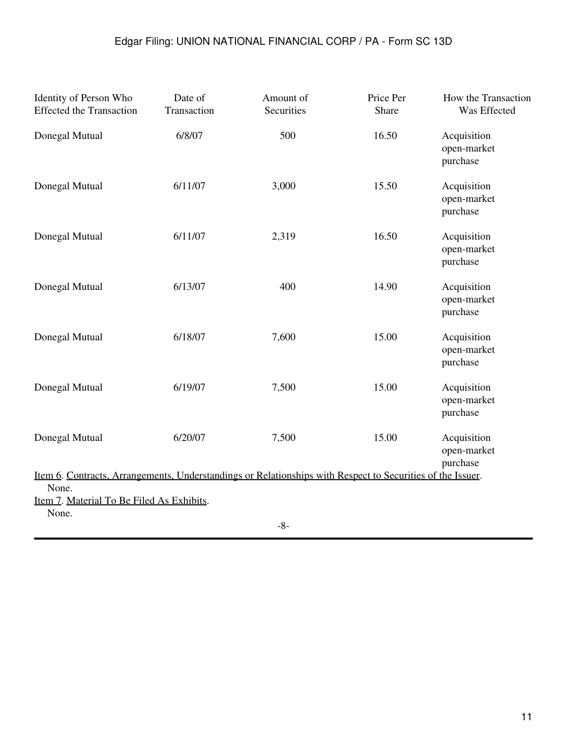| Identity of Person Who<br><b>Effected the Transaction</b>                                                                  | Date of<br>Transaction | Amount of<br>Securities | Price Per<br>Share | How the Transaction<br>Was Effected    |
|----------------------------------------------------------------------------------------------------------------------------|------------------------|-------------------------|--------------------|----------------------------------------|
| Donegal Mutual                                                                                                             | 6/8/07                 | 500                     | 16.50              | Acquisition<br>open-market<br>purchase |
| Donegal Mutual                                                                                                             | 6/11/07                | 3,000                   | 15.50              | Acquisition<br>open-market<br>purchase |
| Donegal Mutual                                                                                                             | 6/11/07                | 2,319                   | 16.50              | Acquisition<br>open-market<br>purchase |
| Donegal Mutual                                                                                                             | 6/13/07                | 400                     | 14.90              | Acquisition<br>open-market<br>purchase |
| Donegal Mutual                                                                                                             | 6/18/07                | 7,600                   | 15.00              | Acquisition<br>open-market<br>purchase |
| Donegal Mutual                                                                                                             | 6/19/07                | 7,500                   | 15.00              | Acquisition<br>open-market<br>purchase |
| Donegal Mutual                                                                                                             | 6/20/07                | 7,500                   | 15.00              | Acquisition<br>open-market<br>purchase |
| <u>Item 6. Contracts, Arrangements, Understandings or Relationships with Respect to Securities of the Issuer.</u><br>None. |                        |                         |                    |                                        |
| Item 7. Material To Be Filed As Exhibits.<br>None.                                                                         |                        |                         |                    |                                        |
|                                                                                                                            |                        | $\mathbf{Q}$            |                    |                                        |